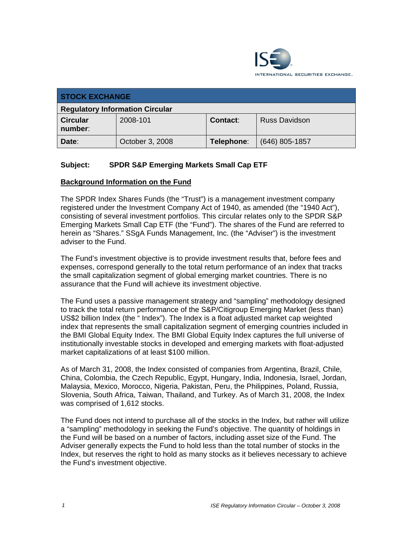

| <b>STOCK EXCHANGE</b>                  |                 |                 |                      |  |
|----------------------------------------|-----------------|-----------------|----------------------|--|
| <b>Regulatory Information Circular</b> |                 |                 |                      |  |
| <b>Circular</b><br>number:             | 2008-101        | <b>Contact:</b> | <b>Russ Davidson</b> |  |
| Date:                                  | October 3, 2008 | Telephone:      | $(646)$ 805-1857     |  |

## **Subject: SPDR S&P Emerging Markets Small Cap ETF**

### **Background Information on the Fund**

The SPDR Index Shares Funds (the "Trust") is a management investment company registered under the Investment Company Act of 1940, as amended (the "1940 Act"), consisting of several investment portfolios. This circular relates only to the SPDR S&P Emerging Markets Small Cap ETF (the "Fund"). The shares of the Fund are referred to herein as "Shares." SSgA Funds Management, Inc. (the "Adviser") is the investment adviser to the Fund.

The Fund's investment objective is to provide investment results that, before fees and expenses, correspond generally to the total return performance of an index that tracks the small capitalization segment of global emerging market countries. There is no assurance that the Fund will achieve its investment objective.

The Fund uses a passive management strategy and "sampling" methodology designed to track the total return performance of the S&P/Citigroup Emerging Market (less than) US\$2 billion Index (the " Index"). The Index is a float adjusted market cap weighted index that represents the small capitalization segment of emerging countries included in the BMI Global Equity Index. The BMI Global Equity Index captures the full universe of institutionally investable stocks in developed and emerging markets with float-adjusted market capitalizations of at least \$100 million.

As of March 31, 2008, the Index consisted of companies from Argentina, Brazil, Chile, China, Colombia, the Czech Republic, Egypt, Hungary, India, Indonesia, Israel, Jordan, Malaysia, Mexico, Morocco, Nigeria, Pakistan, Peru, the Philippines, Poland, Russia, Slovenia, South Africa, Taiwan, Thailand, and Turkey. As of March 31, 2008, the Index was comprised of 1,612 stocks.

The Fund does not intend to purchase all of the stocks in the Index, but rather will utilize a "sampling" methodology in seeking the Fund's objective. The quantity of holdings in the Fund will be based on a number of factors, including asset size of the Fund. The Adviser generally expects the Fund to hold less than the total number of stocks in the Index, but reserves the right to hold as many stocks as it believes necessary to achieve the Fund's investment objective.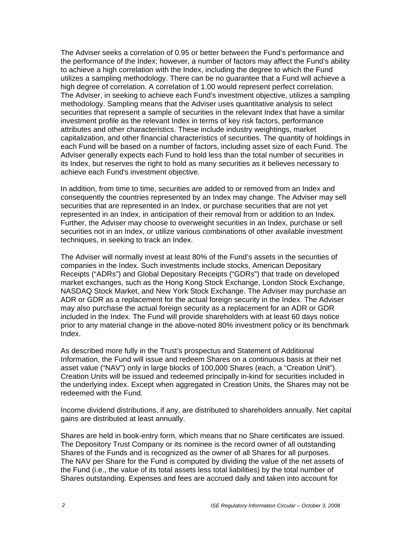The Adviser seeks a correlation of 0.95 or better between the Fund's performance and the performance of the Index; however, a number of factors may affect the Fund's ability to achieve a high correlation with the Index, including the degree to which the Fund utilizes a sampling methodology. There can be no guarantee that a Fund will achieve a high degree of correlation. A correlation of 1.00 would represent perfect correlation. The Adviser, in seeking to achieve each Fund's investment objective, utilizes a sampling methodology. Sampling means that the Adviser uses quantitative analysis to select securities that represent a sample of securities in the relevant Index that have a similar investment profile as the relevant Index in terms of key risk factors, performance attributes and other characteristics. These include industry weightings, market capitalization, and other financial characteristics of securities. The quantity of holdings in each Fund will be based on a number of factors, including asset size of each Fund. The Adviser generally expects each Fund to hold less than the total number of securities in its Index, but reserves the right to hold as many securities as it believes necessary to achieve each Fund's investment objective.

In addition, from time to time, securities are added to or removed from an Index and consequently the countries represented by an Index may change. The Adviser may sell securities that are represented in an Index, or purchase securities that are not yet represented in an Index, in anticipation of their removal from or addition to an Index. Further, the Adviser may choose to overweight securities in an Index, purchase or sell securities not in an Index, or utilize various combinations of other available investment techniques, in seeking to track an Index.

The Adviser will normally invest at least 80% of the Fund's assets in the securities of companies in the Index. Such investments include stocks, American Depositary Receipts ("ADRs") and Global Depositary Receipts ("GDRs") that trade on developed market exchanges, such as the Hong Kong Stock Exchange, London Stock Exchange, NASDAQ Stock Market, and New York Stock Exchange. The Adviser may purchase an ADR or GDR as a replacement for the actual foreign security in the Index. The Adviser may also purchase the actual foreign security as a replacement for an ADR or GDR included in the Index. The Fund will provide shareholders with at least 60 days notice prior to any material change in the above-noted 80% investment policy or its benchmark Index.

As described more fully in the Trust's prospectus and Statement of Additional Information, the Fund will issue and redeem Shares on a continuous basis at their net asset value ("NAV") only in large blocks of 100,000 Shares (each, a "Creation Unit"). Creation Units will be issued and redeemed principally in-kind for securities included in the underlying index. Except when aggregated in Creation Units, the Shares may not be redeemed with the Fund.

Income dividend distributions, if any, are distributed to shareholders annually. Net capital gains are distributed at least annually.

Shares are held in book-entry form, which means that no Share certificates are issued. The Depository Trust Company or its nominee is the record owner of all outstanding Shares of the Funds and is recognized as the owner of all Shares for all purposes. The NAV per Share for the Fund is computed by dividing the value of the net assets of the Fund (i.e., the value of its total assets less total liabilities) by the total number of Shares outstanding. Expenses and fees are accrued daily and taken into account for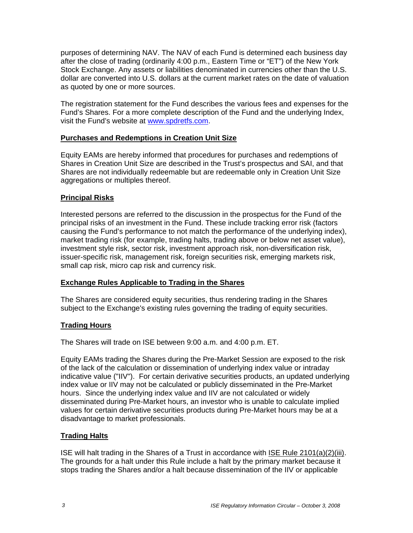purposes of determining NAV. The NAV of each Fund is determined each business day after the close of trading (ordinarily 4:00 p.m., Eastern Time or "ET") of the New York Stock Exchange. Any assets or liabilities denominated in currencies other than the U.S. dollar are converted into U.S. dollars at the current market rates on the date of valuation as quoted by one or more sources.

The registration statement for the Fund describes the various fees and expenses for the Fund's Shares. For a more complete description of the Fund and the underlying Index, visit the Fund's website at www.spdretfs.com.

## **Purchases and Redemptions in Creation Unit Size**

Equity EAMs are hereby informed that procedures for purchases and redemptions of Shares in Creation Unit Size are described in the Trust's prospectus and SAI, and that Shares are not individually redeemable but are redeemable only in Creation Unit Size aggregations or multiples thereof.

### **Principal Risks**

Interested persons are referred to the discussion in the prospectus for the Fund of the principal risks of an investment in the Fund. These include tracking error risk (factors causing the Fund's performance to not match the performance of the underlying index), market trading risk (for example, trading halts, trading above or below net asset value), investment style risk, sector risk, investment approach risk, non-diversification risk, issuer-specific risk, management risk, foreign securities risk, emerging markets risk, small cap risk, micro cap risk and currency risk.

## **Exchange Rules Applicable to Trading in the Shares**

The Shares are considered equity securities, thus rendering trading in the Shares subject to the Exchange's existing rules governing the trading of equity securities.

#### **Trading Hours**

The Shares will trade on ISE between 9:00 a.m. and 4:00 p.m. ET.

Equity EAMs trading the Shares during the Pre-Market Session are exposed to the risk of the lack of the calculation or dissemination of underlying index value or intraday indicative value ("IIV"). For certain derivative securities products, an updated underlying index value or IIV may not be calculated or publicly disseminated in the Pre-Market hours. Since the underlying index value and IIV are not calculated or widely disseminated during Pre-Market hours, an investor who is unable to calculate implied values for certain derivative securities products during Pre-Market hours may be at a disadvantage to market professionals.

## **Trading Halts**

ISE will halt trading in the Shares of a Trust in accordance with ISE Rule 2101(a)(2)(iii). The grounds for a halt under this Rule include a halt by the primary market because it stops trading the Shares and/or a halt because dissemination of the IIV or applicable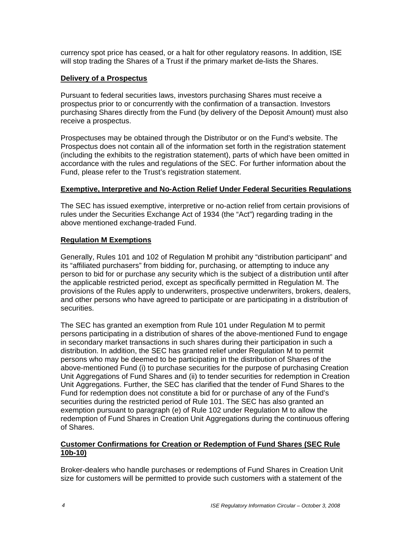currency spot price has ceased, or a halt for other regulatory reasons. In addition, ISE will stop trading the Shares of a Trust if the primary market de-lists the Shares.

## **Delivery of a Prospectus**

Pursuant to federal securities laws, investors purchasing Shares must receive a prospectus prior to or concurrently with the confirmation of a transaction. Investors purchasing Shares directly from the Fund (by delivery of the Deposit Amount) must also receive a prospectus.

Prospectuses may be obtained through the Distributor or on the Fund's website. The Prospectus does not contain all of the information set forth in the registration statement (including the exhibits to the registration statement), parts of which have been omitted in accordance with the rules and regulations of the SEC. For further information about the Fund, please refer to the Trust's registration statement.

### **Exemptive, Interpretive and No-Action Relief Under Federal Securities Regulations**

The SEC has issued exemptive, interpretive or no-action relief from certain provisions of rules under the Securities Exchange Act of 1934 (the "Act") regarding trading in the above mentioned exchange-traded Fund.

## **Regulation M Exemptions**

Generally, Rules 101 and 102 of Regulation M prohibit any "distribution participant" and its "affiliated purchasers" from bidding for, purchasing, or attempting to induce any person to bid for or purchase any security which is the subject of a distribution until after the applicable restricted period, except as specifically permitted in Regulation M. The provisions of the Rules apply to underwriters, prospective underwriters, brokers, dealers, and other persons who have agreed to participate or are participating in a distribution of securities.

The SEC has granted an exemption from Rule 101 under Regulation M to permit persons participating in a distribution of shares of the above-mentioned Fund to engage in secondary market transactions in such shares during their participation in such a distribution. In addition, the SEC has granted relief under Regulation M to permit persons who may be deemed to be participating in the distribution of Shares of the above-mentioned Fund (i) to purchase securities for the purpose of purchasing Creation Unit Aggregations of Fund Shares and (ii) to tender securities for redemption in Creation Unit Aggregations. Further, the SEC has clarified that the tender of Fund Shares to the Fund for redemption does not constitute a bid for or purchase of any of the Fund's securities during the restricted period of Rule 101. The SEC has also granted an exemption pursuant to paragraph (e) of Rule 102 under Regulation M to allow the redemption of Fund Shares in Creation Unit Aggregations during the continuous offering of Shares.

### **Customer Confirmations for Creation or Redemption of Fund Shares (SEC Rule 10b-10)**

Broker-dealers who handle purchases or redemptions of Fund Shares in Creation Unit size for customers will be permitted to provide such customers with a statement of the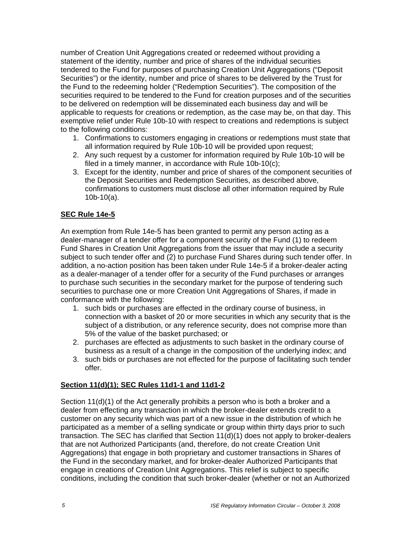number of Creation Unit Aggregations created or redeemed without providing a statement of the identity, number and price of shares of the individual securities tendered to the Fund for purposes of purchasing Creation Unit Aggregations ("Deposit Securities") or the identity, number and price of shares to be delivered by the Trust for the Fund to the redeeming holder ("Redemption Securities"). The composition of the securities required to be tendered to the Fund for creation purposes and of the securities to be delivered on redemption will be disseminated each business day and will be applicable to requests for creations or redemption, as the case may be, on that day. This exemptive relief under Rule 10b-10 with respect to creations and redemptions is subject to the following conditions:

- 1. Confirmations to customers engaging in creations or redemptions must state that all information required by Rule 10b-10 will be provided upon request;
- 2. Any such request by a customer for information required by Rule 10b-10 will be filed in a timely manner, in accordance with Rule 10b-10(c);
- 3. Except for the identity, number and price of shares of the component securities of the Deposit Securities and Redemption Securities, as described above, confirmations to customers must disclose all other information required by Rule 10b-10(a).

## **SEC Rule 14e-5**

An exemption from Rule 14e-5 has been granted to permit any person acting as a dealer-manager of a tender offer for a component security of the Fund (1) to redeem Fund Shares in Creation Unit Aggregations from the issuer that may include a security subject to such tender offer and (2) to purchase Fund Shares during such tender offer. In addition, a no-action position has been taken under Rule 14e-5 if a broker-dealer acting as a dealer-manager of a tender offer for a security of the Fund purchases or arranges to purchase such securities in the secondary market for the purpose of tendering such securities to purchase one or more Creation Unit Aggregations of Shares, if made in conformance with the following:

- 1. such bids or purchases are effected in the ordinary course of business, in connection with a basket of 20 or more securities in which any security that is the subject of a distribution, or any reference security, does not comprise more than 5% of the value of the basket purchased; or
- 2. purchases are effected as adjustments to such basket in the ordinary course of business as a result of a change in the composition of the underlying index; and
- 3. such bids or purchases are not effected for the purpose of facilitating such tender offer.

## **Section 11(d)(1); SEC Rules 11d1-1 and 11d1-2**

Section 11(d)(1) of the Act generally prohibits a person who is both a broker and a dealer from effecting any transaction in which the broker-dealer extends credit to a customer on any security which was part of a new issue in the distribution of which he participated as a member of a selling syndicate or group within thirty days prior to such transaction. The SEC has clarified that Section 11(d)(1) does not apply to broker-dealers that are not Authorized Participants (and, therefore, do not create Creation Unit Aggregations) that engage in both proprietary and customer transactions in Shares of the Fund in the secondary market, and for broker-dealer Authorized Participants that engage in creations of Creation Unit Aggregations. This relief is subject to specific conditions, including the condition that such broker-dealer (whether or not an Authorized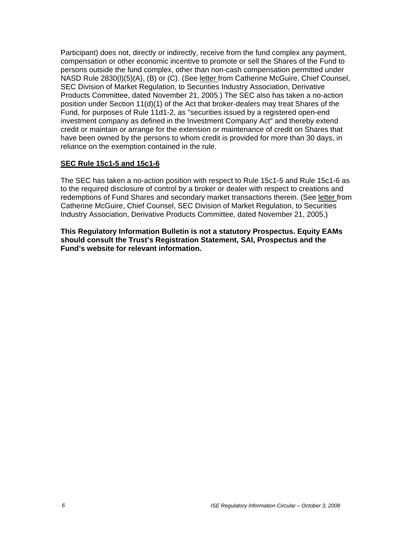Participant) does not, directly or indirectly, receive from the fund complex any payment, compensation or other economic incentive to promote or sell the Shares of the Fund to persons outside the fund complex, other than non-cash compensation permitted under NASD Rule 2830(l)(5)(A), (B) or (C). (See letter from Catherine McGuire, Chief Counsel, SEC Division of Market Regulation, to Securities Industry Association, Derivative Products Committee, dated November 21, 2005.) The SEC also has taken a no-action position under Section 11(d)(1) of the Act that broker-dealers may treat Shares of the Fund, for purposes of Rule 11d1-2, as "securities issued by a registered open-end investment company as defined in the Investment Company Act" and thereby extend credit or maintain or arrange for the extension or maintenance of credit on Shares that have been owned by the persons to whom credit is provided for more than 30 days, in reliance on the exemption contained in the rule.

### **SEC Rule 15c1-5 and 15c1-6**

The SEC has taken a no-action position with respect to Rule 15c1-5 and Rule 15c1-6 as to the required disclosure of control by a broker or dealer with respect to creations and redemptions of Fund Shares and secondary market transactions therein. (See letter from Catherine McGuire, Chief Counsel, SEC Division of Market Regulation, to Securities Industry Association, Derivative Products Committee, dated November 21, 2005.)

**This Regulatory Information Bulletin is not a statutory Prospectus. Equity EAMs should consult the Trust's Registration Statement, SAI, Prospectus and the Fund's website for relevant information.**